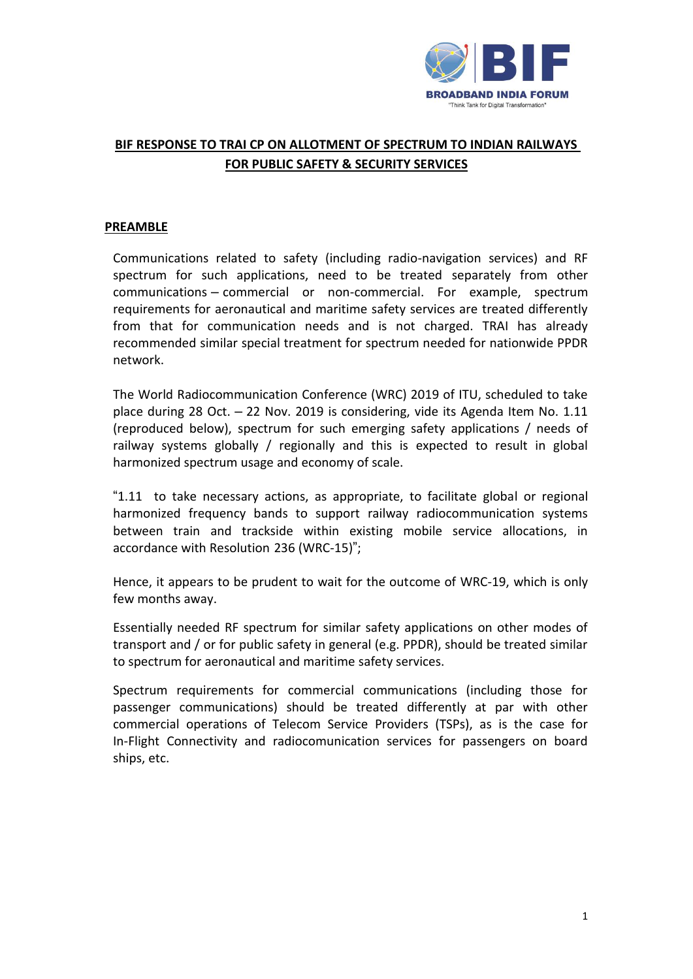

# **BIF RESPONSE TO TRAI CP ON ALLOTMENT OF SPECTRUM TO INDIAN RAILWAYS FOR PUBLIC SAFETY & SECURITY SERVICES**

#### **PREAMBLE**

Communications related to safety (including radio-navigation services) and RF spectrum for such applications, need to be treated separately from other communications – commercial or non-commercial. For example, spectrum requirements for aeronautical and maritime safety services are treated differently from that for communication needs and is not charged. TRAI has already recommended similar special treatment for spectrum needed for nationwide PPDR network.

The World Radiocommunication Conference (WRC) 2019 of ITU, scheduled to take place during 28 Oct. – 22 Nov. 2019 is considering, vide its Agenda Item No. 1.11 (reproduced below), spectrum for such emerging safety applications / needs of railway systems globally / regionally and this is expected to result in global harmonized spectrum usage and economy of scale.

"1.11 to take necessary actions, as appropriate, to facilitate global or regional harmonized frequency bands to support railway radiocommunication systems between train and trackside within existing mobile service allocations, in accordance with Resolution 236 (WRC-15)";

Hence, it appears to be prudent to wait for the outcome of WRC-19, which is only few months away.

Essentially needed RF spectrum for similar safety applications on other modes of transport and / or for public safety in general (e.g. PPDR), should be treated similar to spectrum for aeronautical and maritime safety services.

Spectrum requirements for commercial communications (including those for passenger communications) should be treated differently at par with other commercial operations of Telecom Service Providers (TSPs), as is the case for In-Flight Connectivity and radiocomunication services for passengers on board ships, etc.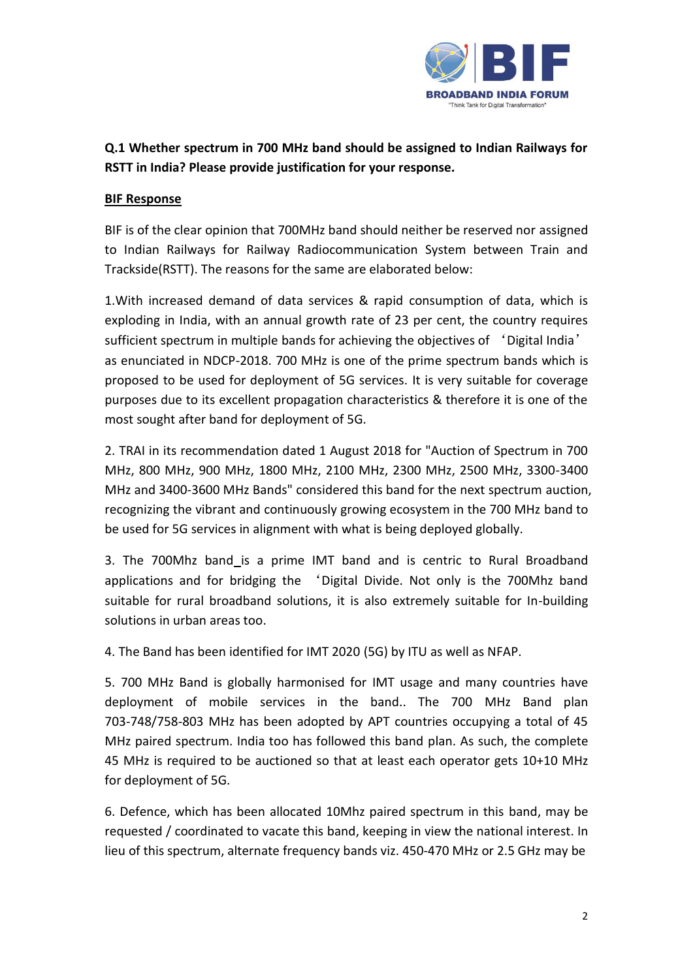

# **Q.1 Whether spectrum in 700 MHz band should be assigned to Indian Railways for RSTT in India? Please provide justification for your response.**

### **BIF Response**

BIF is of the clear opinion that 700MHz band should neither be reserved nor assigned to Indian Railways for Railway Radiocommunication System between Train and Trackside(RSTT). The reasons for the same are elaborated below:

1.With increased demand of data services & rapid consumption of data, which is exploding in India, with an annual growth rate of 23 per cent, the country requires sufficient spectrum in multiple bands for achieving the objectives of 'Digital India' as enunciated in NDCP-2018. 700 MHz is one of the prime spectrum bands which is proposed to be used for deployment of 5G services. It is very suitable for coverage purposes due to its excellent propagation characteristics & therefore it is one of the most sought after band for deployment of 5G.

2. TRAI in its recommendation dated 1 August 2018 for "Auction of Spectrum in 700 MHz, 800 MHz, 900 MHz, 1800 MHz, 2100 MHz, 2300 MHz, 2500 MHz, 3300-3400 MHz and 3400-3600 MHz Bands" considered this band for the next spectrum auction, recognizing the vibrant and continuously growing ecosystem in the 700 MHz band to be used for 5G services in alignment with what is being deployed globally.

3. The 700Mhz band is a prime IMT band and is centric to Rural Broadband applications and for bridging the 'Digital Divide. Not only is the 700Mhz band suitable for rural broadband solutions, it is also extremely suitable for In-building solutions in urban areas too.

4. The Band has been identified for IMT 2020 (5G) by ITU as well as NFAP.

5. 700 MHz Band is globally harmonised for IMT usage and many countries have deployment of mobile services in the band.. The 700 MHz Band plan 703-748/758-803 MHz has been adopted by APT countries occupying a total of 45 MHz paired spectrum. India too has followed this band plan. As such, the complete 45 MHz is required to be auctioned so that at least each operator gets 10+10 MHz for deployment of 5G.

6. Defence, which has been allocated 10Mhz paired spectrum in this band, may be requested / coordinated to vacate this band, keeping in view the national interest. In lieu of this spectrum, alternate frequency bands viz. 450-470 MHz or 2.5 GHz may be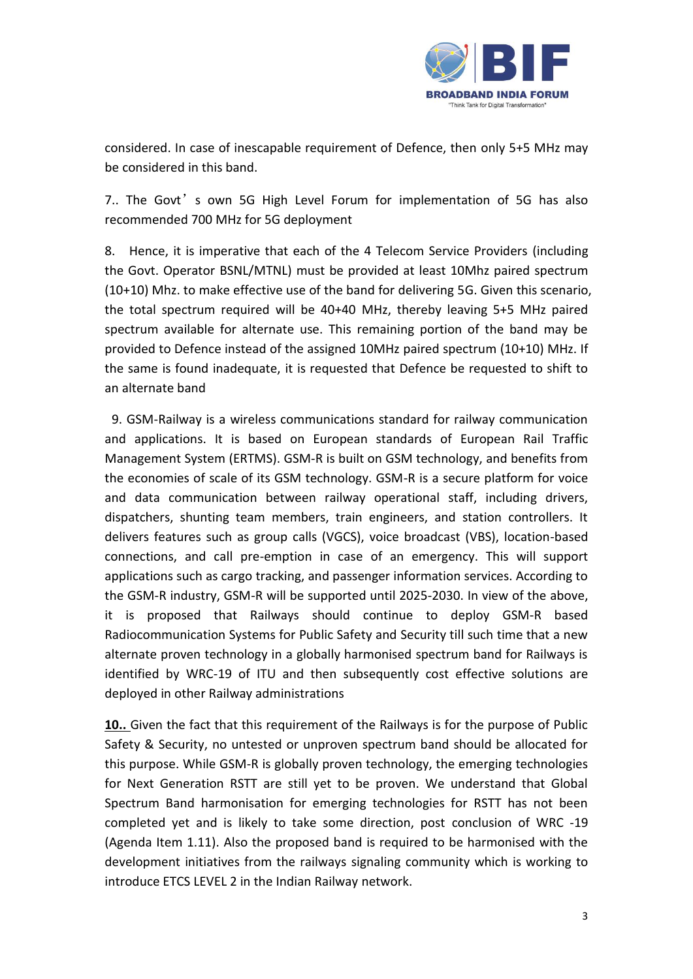

considered. In case of inescapable requirement of Defence, then only 5+5 MHz may be considered in this band.

7.. The Govt's own 5G High Level Forum for implementation of 5G has also recommended 700 MHz for 5G deployment

8. Hence, it is imperative that each of the 4 Telecom Service Providers (including the Govt. Operator BSNL/MTNL) must be provided at least 10Mhz paired spectrum (10+10) Mhz. to make effective use of the band for delivering 5G. Given this scenario, the total spectrum required will be 40+40 MHz, thereby leaving 5+5 MHz paired spectrum available for alternate use. This remaining portion of the band may be provided to Defence instead of the assigned 10MHz paired spectrum (10+10) MHz. If the same is found inadequate, it is requested that Defence be requested to shift to an alternate band

9. GSM-Railway is a wireless communications standard for railway communication and applications. It is based on European standards of European Rail Traffic Management System (ERTMS). GSM-R is built on GSM technology, and benefits from the economies of scale of its GSM technology. GSM-R is a secure platform for voice and data communication between railway operational staff, including drivers, dispatchers, shunting team members, train engineers, and station controllers. It delivers features such as group calls (VGCS), voice broadcast (VBS), location-based connections, and call pre-emption in case of an emergency. This will support applications such as cargo tracking, and passenger information services. According to the GSM-R industry, GSM-R will be supported until 2025-2030. In view of the above, it is proposed that Railways should continue to deploy GSM-R based Radiocommunication Systems for Public Safety and Security till such time that a new alternate proven technology in a globally harmonised spectrum band for Railways is identified by WRC-19 of ITU and then subsequently cost effective solutions are deployed in other Railway administrations

**10..** Given the fact that this requirement of the Railways is for the purpose of Public Safety & Security, no untested or unproven spectrum band should be allocated for this purpose. While GSM-R is globally proven technology, the emerging technologies for Next Generation RSTT are still yet to be proven. We understand that Global Spectrum Band harmonisation for emerging technologies for RSTT has not been completed yet and is likely to take some direction, post conclusion of WRC -19 (Agenda Item 1.11). Also the proposed band is required to be harmonised with the development initiatives from the railways signaling community which is working to introduce ETCS LEVEL 2 in the Indian Railway network.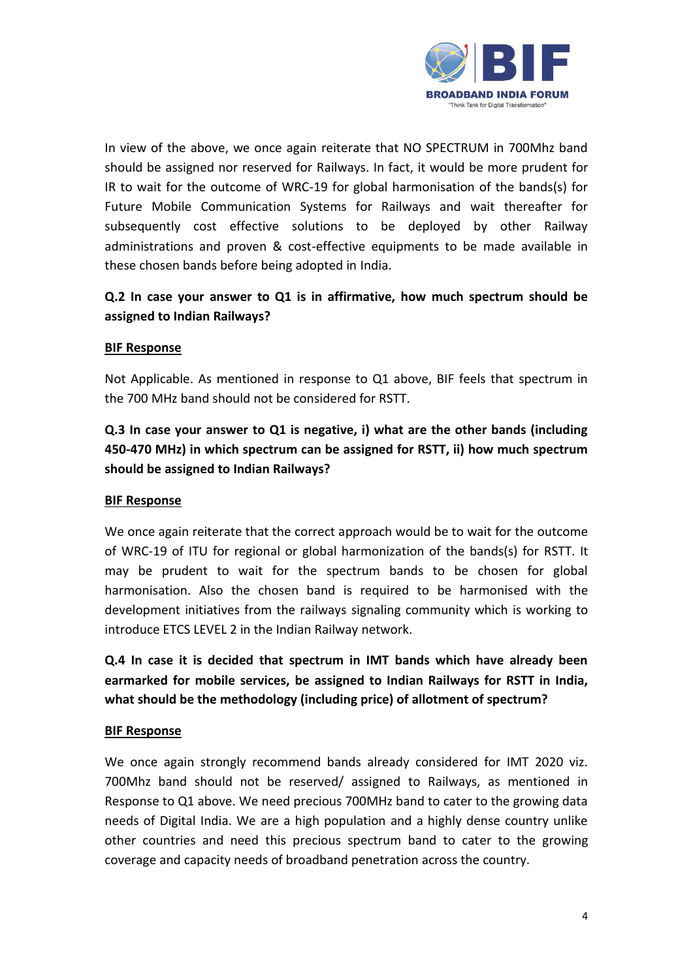

In view of the above, we once again reiterate that NO SPECTRUM in 700Mhz band should be assigned nor reserved for Railways. In fact, it would be more prudent for IR to wait for the outcome of WRC-19 for global harmonisation of the bands(s) for Future Mobile Communication Systems for Railways and wait thereafter for subsequently cost effective solutions to be deployed by other Railway administrations and proven & cost-effective equipments to be made available in these chosen bands before being adopted in India.

# **Q.2 In case your answer to Q1 is in affirmative, how much spectrum should be assigned to Indian Railways?**

#### **BIF Response**

Not Applicable. As mentioned in response to Q1 above, BIF feels that spectrum in the 700 MHz band should not be considered for RSTT.

# **Q.3 In case your answer to Q1 is negative, i) what are the other bands (including 450-470 MHz) in which spectrum can be assigned for RSTT, ii) how much spectrum should be assigned to Indian Railways?**

#### **BIF Response**

We once again reiterate that the correct approach would be to wait for the outcome of WRC-19 of ITU for regional or global harmonization of the bands(s) for RSTT. It may be prudent to wait for the spectrum bands to be chosen for global harmonisation. Also the chosen band is required to be harmonised with the development initiatives from the railways signaling community which is working to introduce ETCS LEVEL 2 in the Indian Railway network.

**Q.4 In case it is decided that spectrum in IMT bands which have already been earmarked for mobile services, be assigned to Indian Railways for RSTT in India, what should be the methodology (including price) of allotment of spectrum?** 

#### **BIF Response**

We once again strongly recommend bands already considered for IMT 2020 viz. 700Mhz band should not be reserved/ assigned to Railways, as mentioned in Response to Q1 above. We need precious 700MHz band to cater to the growing data needs of Digital India. We are a high population and a highly dense country unlike other countries and need this precious spectrum band to cater to the growing coverage and capacity needs of broadband penetration across the country.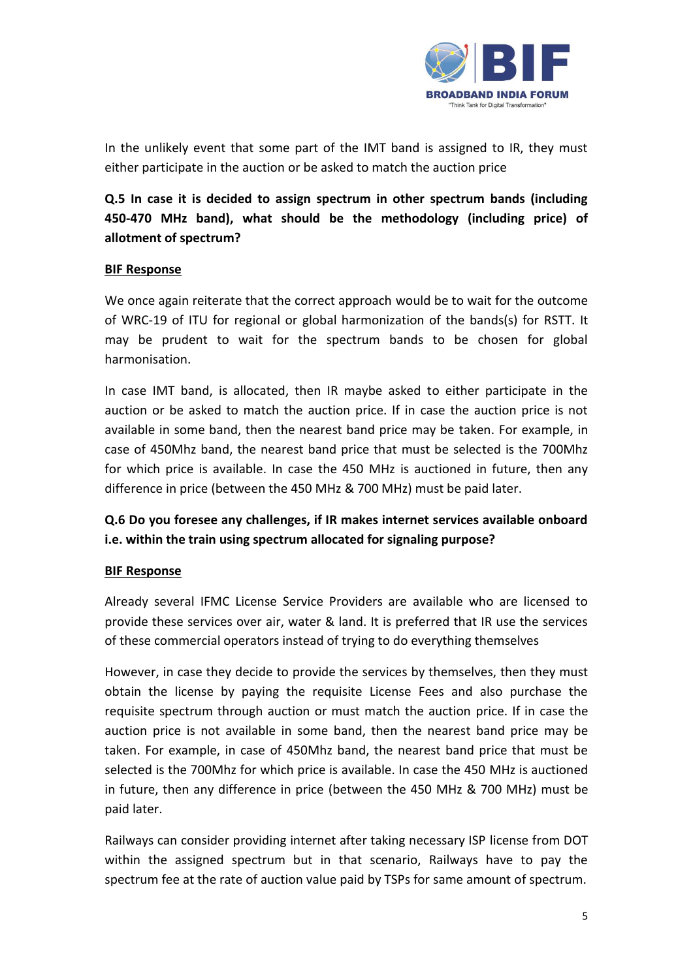

In the unlikely event that some part of the IMT band is assigned to IR, they must either participate in the auction or be asked to match the auction price

**Q.5 In case it is decided to assign spectrum in other spectrum bands (including 450-470 MHz band), what should be the methodology (including price) of allotment of spectrum?** 

#### **BIF Response**

We once again reiterate that the correct approach would be to wait for the outcome of WRC-19 of ITU for regional or global harmonization of the bands(s) for RSTT. It may be prudent to wait for the spectrum bands to be chosen for global harmonisation.

In case IMT band, is allocated, then IR maybe asked to either participate in the auction or be asked to match the auction price. If in case the auction price is not available in some band, then the nearest band price may be taken. For example, in case of 450Mhz band, the nearest band price that must be selected is the 700Mhz for which price is available. In case the 450 MHz is auctioned in future, then any difference in price (between the 450 MHz & 700 MHz) must be paid later.

# **Q.6 Do you foresee any challenges, if IR makes internet services available onboard i.e. within the train using spectrum allocated for signaling purpose?**

#### **BIF Response**

Already several IFMC License Service Providers are available who are licensed to provide these services over air, water & land. It is preferred that IR use the services of these commercial operators instead of trying to do everything themselves

However, in case they decide to provide the services by themselves, then they must obtain the license by paying the requisite License Fees and also purchase the requisite spectrum through auction or must match the auction price. If in case the auction price is not available in some band, then the nearest band price may be taken. For example, in case of 450Mhz band, the nearest band price that must be selected is the 700Mhz for which price is available. In case the 450 MHz is auctioned in future, then any difference in price (between the 450 MHz & 700 MHz) must be paid later.

Railways can consider providing internet after taking necessary ISP license from DOT within the assigned spectrum but in that scenario, Railways have to pay the spectrum fee at the rate of auction value paid by TSPs for same amount of spectrum.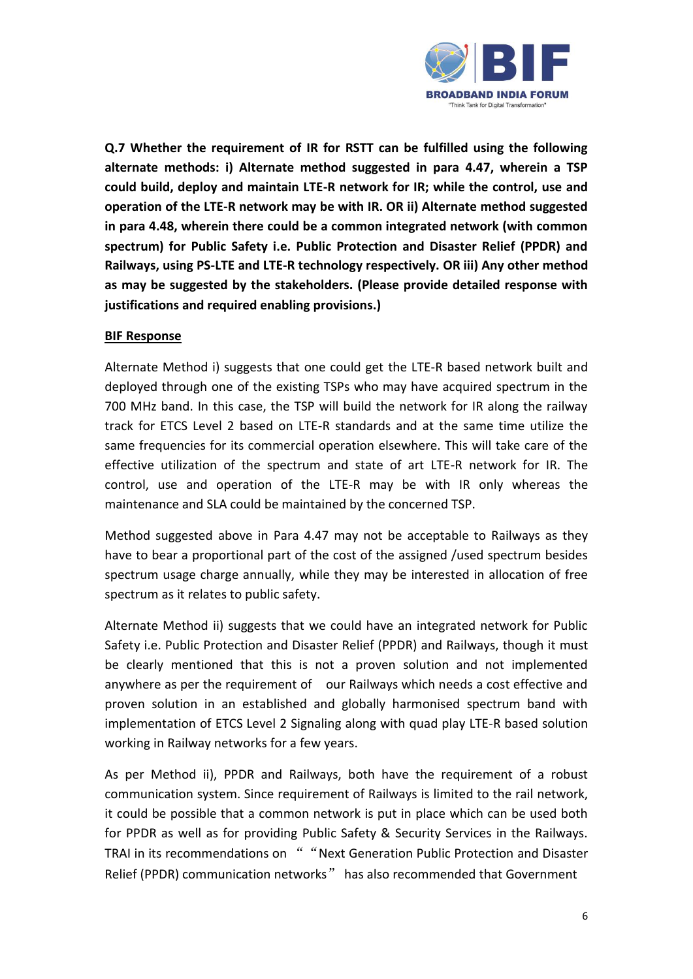

**Q.7 Whether the requirement of IR for RSTT can be fulfilled using the following alternate methods: i) Alternate method suggested in para 4.47, wherein a TSP could build, deploy and maintain LTE-R network for IR; while the control, use and operation of the LTE-R network may be with IR. OR ii) Alternate method suggested in para 4.48, wherein there could be a common integrated network (with common spectrum) for Public Safety i.e. Public Protection and Disaster Relief (PPDR) and Railways, using PS-LTE and LTE-R technology respectively. OR iii) Any other method as may be suggested by the stakeholders. (Please provide detailed response with justifications and required enabling provisions.)** 

#### **BIF Response**

Alternate Method i) suggests that one could get the LTE-R based network built and deployed through one of the existing TSPs who may have acquired spectrum in the 700 MHz band. In this case, the TSP will build the network for IR along the railway track for ETCS Level 2 based on LTE-R standards and at the same time utilize the same frequencies for its commercial operation elsewhere. This will take care of the effective utilization of the spectrum and state of art LTE-R network for IR. The control, use and operation of the LTE-R may be with IR only whereas the maintenance and SLA could be maintained by the concerned TSP.

Method suggested above in Para 4.47 may not be acceptable to Railways as they have to bear a proportional part of the cost of the assigned /used spectrum besides spectrum usage charge annually, while they may be interested in allocation of free spectrum as it relates to public safety.

Alternate Method ii) suggests that we could have an integrated network for Public Safety i.e. Public Protection and Disaster Relief (PPDR) and Railways, though it must be clearly mentioned that this is not a proven solution and not implemented anywhere as per the requirement of our Railways which needs a cost effective and proven solution in an established and globally harmonised spectrum band with implementation of ETCS Level 2 Signaling along with quad play LTE-R based solution working in Railway networks for a few years.

As per Method ii), PPDR and Railways, both have the requirement of a robust communication system. Since requirement of Railways is limited to the rail network, it could be possible that a common network is put in place which can be used both for PPDR as well as for providing Public Safety & Security Services in the Railways. TRAI in its recommendations on " "Next Generation Public Protection and Disaster Relief (PPDR) communication networks" has also recommended that Government